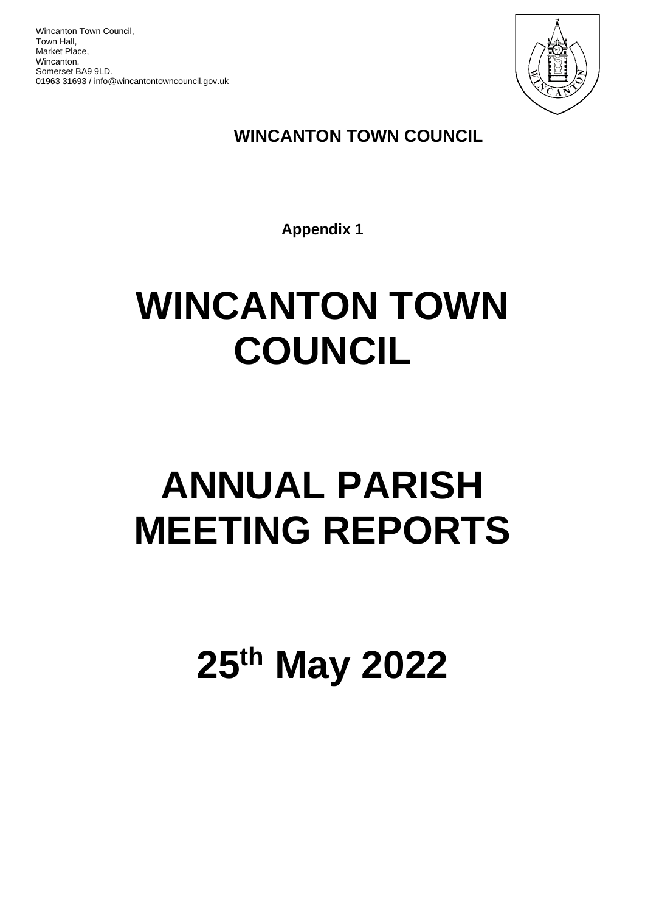Wincanton Town Council, Town Hall, Market Place, Wincanton, Somerset BA9 9LD. 01963 31693 / info@wincantontowncouncil.gov.uk



**WINCANTON TOWN COUNCIL**

**Appendix 1**

# **WINCANTON TOWN COUNCIL**

# **ANNUAL PARISH MEETING REPORTS**

**25th May 2022**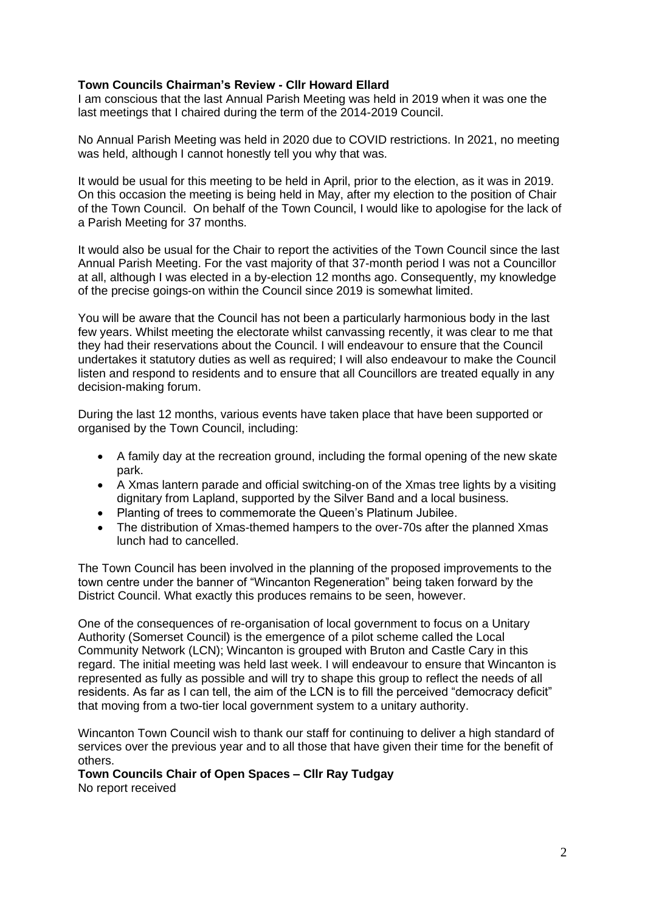#### **Town Councils Chairman's Review - Cllr Howard Ellard**

I am conscious that the last Annual Parish Meeting was held in 2019 when it was one the last meetings that I chaired during the term of the 2014-2019 Council.

No Annual Parish Meeting was held in 2020 due to COVID restrictions. In 2021, no meeting was held, although I cannot honestly tell you why that was.

It would be usual for this meeting to be held in April, prior to the election, as it was in 2019. On this occasion the meeting is being held in May, after my election to the position of Chair of the Town Council. On behalf of the Town Council, I would like to apologise for the lack of a Parish Meeting for 37 months.

It would also be usual for the Chair to report the activities of the Town Council since the last Annual Parish Meeting. For the vast majority of that 37-month period I was not a Councillor at all, although I was elected in a by-election 12 months ago. Consequently, my knowledge of the precise goings-on within the Council since 2019 is somewhat limited.

You will be aware that the Council has not been a particularly harmonious body in the last few years. Whilst meeting the electorate whilst canvassing recently, it was clear to me that they had their reservations about the Council. I will endeavour to ensure that the Council undertakes it statutory duties as well as required; I will also endeavour to make the Council listen and respond to residents and to ensure that all Councillors are treated equally in any decision-making forum.

During the last 12 months, various events have taken place that have been supported or organised by the Town Council, including:

- A family day at the recreation ground, including the formal opening of the new skate park.
- A Xmas lantern parade and official switching-on of the Xmas tree lights by a visiting dignitary from Lapland, supported by the Silver Band and a local business.
- Planting of trees to commemorate the Queen's Platinum Jubilee.
- The distribution of Xmas-themed hampers to the over-70s after the planned Xmas lunch had to cancelled.

The Town Council has been involved in the planning of the proposed improvements to the town centre under the banner of "Wincanton Regeneration" being taken forward by the District Council. What exactly this produces remains to be seen, however.

One of the consequences of re-organisation of local government to focus on a Unitary Authority (Somerset Council) is the emergence of a pilot scheme called the Local Community Network (LCN); Wincanton is grouped with Bruton and Castle Cary in this regard. The initial meeting was held last week. I will endeavour to ensure that Wincanton is represented as fully as possible and will try to shape this group to reflect the needs of all residents. As far as I can tell, the aim of the LCN is to fill the perceived "democracy deficit" that moving from a two-tier local government system to a unitary authority.

Wincanton Town Council wish to thank our staff for continuing to deliver a high standard of services over the previous year and to all those that have given their time for the benefit of others.

**Town Councils Chair of Open Spaces – Cllr Ray Tudgay** No report received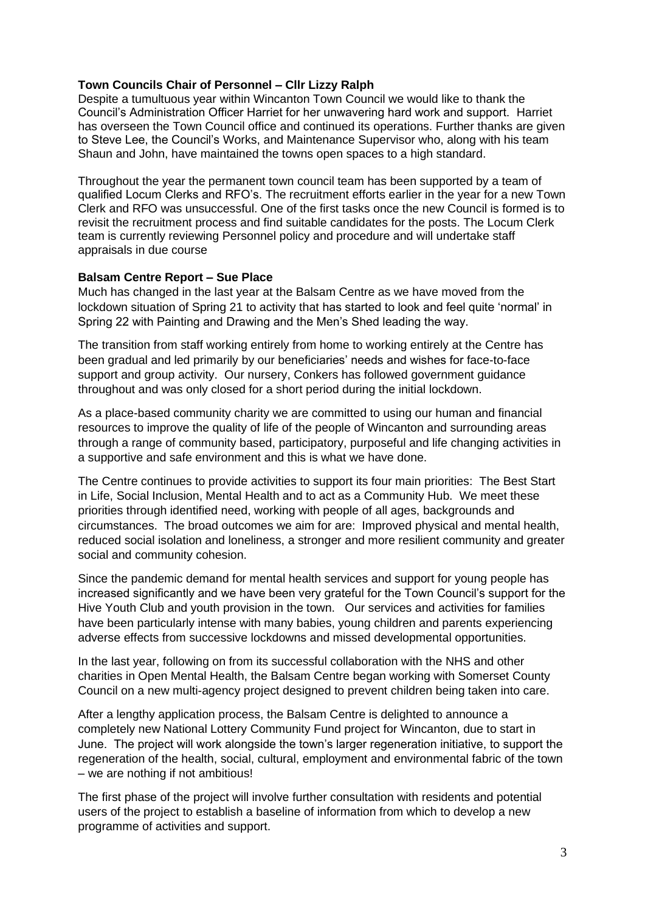#### **Town Councils Chair of Personnel – Cllr Lizzy Ralph**

Despite a tumultuous year within Wincanton Town Council we would like to thank the Council's Administration Officer Harriet for her unwavering hard work and support. Harriet has overseen the Town Council office and continued its operations. Further thanks are given to Steve Lee, the Council's Works, and Maintenance Supervisor who, along with his team Shaun and John, have maintained the towns open spaces to a high standard.

Throughout the year the permanent town council team has been supported by a team of qualified Locum Clerks and RFO's. The recruitment efforts earlier in the year for a new Town Clerk and RFO was unsuccessful. One of the first tasks once the new Council is formed is to revisit the recruitment process and find suitable candidates for the posts. The Locum Clerk team is currently reviewing Personnel policy and procedure and will undertake staff appraisals in due course

## **Balsam Centre Report – Sue Place**

Much has changed in the last year at the Balsam Centre as we have moved from the lockdown situation of Spring 21 to activity that has started to look and feel quite 'normal' in Spring 22 with Painting and Drawing and the Men's Shed leading the way.

The transition from staff working entirely from home to working entirely at the Centre has been gradual and led primarily by our beneficiaries' needs and wishes for face-to-face support and group activity. Our nursery, Conkers has followed government guidance throughout and was only closed for a short period during the initial lockdown.

As a place-based community charity we are committed to using our human and financial resources to improve the quality of life of the people of Wincanton and surrounding areas through a range of community based, participatory, purposeful and life changing activities in a supportive and safe environment and this is what we have done.

The Centre continues to provide activities to support its four main priorities: The Best Start in Life, Social Inclusion, Mental Health and to act as a Community Hub. We meet these priorities through identified need, working with people of all ages, backgrounds and circumstances. The broad outcomes we aim for are: Improved physical and mental health, reduced social isolation and loneliness, a stronger and more resilient community and greater social and community cohesion.

Since the pandemic demand for mental health services and support for young people has increased significantly and we have been very grateful for the Town Council's support for the Hive Youth Club and youth provision in the town. Our services and activities for families have been particularly intense with many babies, young children and parents experiencing adverse effects from successive lockdowns and missed developmental opportunities.

In the last year, following on from its successful collaboration with the NHS and other charities in Open Mental Health, the Balsam Centre began working with Somerset County Council on a new multi-agency project designed to prevent children being taken into care.

After a lengthy application process, the Balsam Centre is delighted to announce a completely new National Lottery Community Fund project for Wincanton, due to start in June. The project will work alongside the town's larger regeneration initiative, to support the regeneration of the health, social, cultural, employment and environmental fabric of the town – we are nothing if not ambitious!

The first phase of the project will involve further consultation with residents and potential users of the project to establish a baseline of information from which to develop a new programme of activities and support.